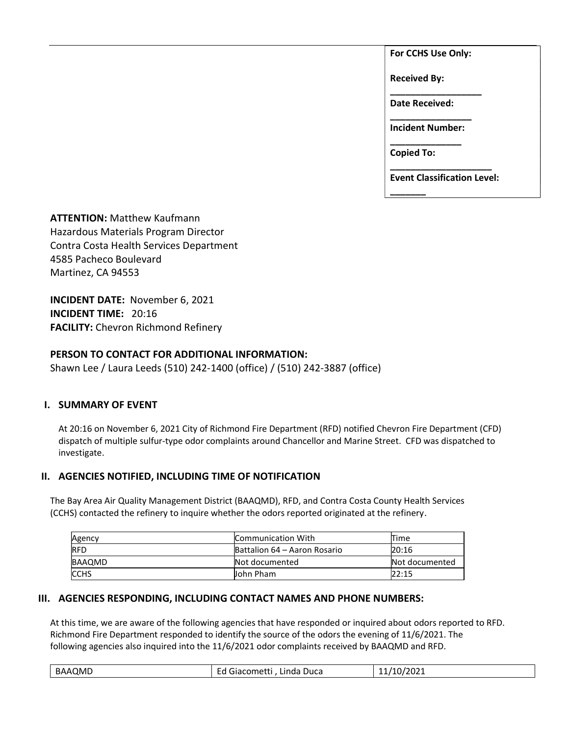For CCHS Use Only:

Received By:

Date Received:

\_\_\_\_\_\_\_\_\_\_\_\_\_\_\_\_\_\_

\_\_\_\_\_\_\_\_\_\_\_\_\_\_\_\_ Incident Number: \_\_\_\_\_\_\_\_\_\_\_\_\_\_

Copied To:

\_\_\_\_\_\_\_

\_\_\_\_\_\_\_\_\_\_\_\_\_\_\_\_\_\_\_\_ Event Classification Level:

ATTENTION: Matthew Kaufmann Hazardous Materials Program Director Contra Costa Health Services Department 4585 Pacheco Boulevard Martinez, CA 94553

INCIDENT DATE: November 6, 2021 INCIDENT TIME: 20:16 FACILITY: Chevron Richmond Refinery

## PERSON TO CONTACT FOR ADDITIONAL INFORMATION:

Shawn Lee / Laura Leeds (510) 242-1400 (office) / (510) 242-3887 (office)

### I. SUMMARY OF EVENT

At 20:16 on November 6, 2021 City of Richmond Fire Department (RFD) notified Chevron Fire Department (CFD) dispatch of multiple sulfur-type odor complaints around Chancellor and Marine Street. CFD was dispatched to investigate.

# II. AGENCIES NOTIFIED, INCLUDING TIME OF NOTIFICATION

The Bay Area Air Quality Management District (BAAQMD), RFD, and Contra Costa County Health Services (CCHS) contacted the refinery to inquire whether the odors reported originated at the refinery.

| Agency      | Communication With           | Time           |
|-------------|------------------------------|----------------|
| <b>RFD</b>  | Battalion 64 – Aaron Rosario | 20:16          |
| BAAQMD      | Not documented               | Not documented |
| <b>CCHS</b> | John Pham                    | 22:15          |

### III. AGENCIES RESPONDING, INCLUDING CONTACT NAMES AND PHONE NUMBERS:

At this time, we are aware of the following agencies that have responded or inquired about odors reported to RFD. Richmond Fire Department responded to identify the source of the odors the evening of 11/6/2021. The following agencies also inquired into the 11/6/2021 odor complaints received by BAAQMD and RFD.

| 10/2021<br>BAAQMD<br>'10.<br>-<br>Duca<br>Giacometti<br>Linda<br><u>_u</u><br>--<br>. . |
|-----------------------------------------------------------------------------------------|
|-----------------------------------------------------------------------------------------|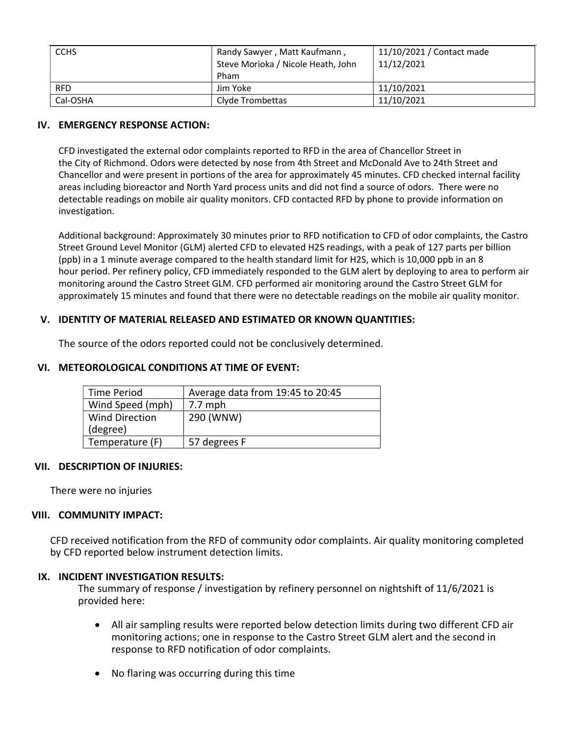| <b>CCHS</b> | Randy Sawyer, Matt Kaufmann,<br>Steve Morioka / Nicole Heath, John<br>Pham | 11/10/2021 / Contact made<br>11/12/2021 |
|-------------|----------------------------------------------------------------------------|-----------------------------------------|
| <b>RFD</b>  | Jim Yoke                                                                   | 11/10/2021                              |
| Cal-OSHA    | Clyde Trombettas                                                           | 11/10/2021                              |

### IV. EMERGENCY RESPONSE ACTION:

CFD investigated the external odor complaints reported to RFD in the area of Chancellor Street in the City of Richmond. Odors were detected by nose from 4th Street and McDonald Ave to 24th Street and Chancellor and were present in portions of the area for approximately 45 minutes. CFD checked internal facility areas including bioreactor and North Yard process units and did not find a source of odors. There were no detectable readings on mobile air quality monitors. CFD contacted RFD by phone to provide information on investigation.

Additional background: Approximately 30 minutes prior to RFD notification to CFD of odor complaints, the Castro Street Ground Level Monitor (GLM) alerted CFD to elevated H2S readings, with a peak of 127 parts per billion (ppb) in a 1 minute average compared to the health standard limit for H2S, which is 10,000 ppb in an 8 hour period. Per refinery policy, CFD immediately responded to the GLM alert by deploying to area to perform air monitoring around the Castro Street GLM. CFD performed air monitoring around the Castro Street GLM for approximately 15 minutes and found that there were no detectable readings on the mobile air quality monitor.

## V. IDENTITY OF MATERIAL RELEASED AND ESTIMATED OR KNOWN QUANTITIES:

The source of the odors reported could not be conclusively determined.

| Time Period           | Average data from 19:45 to 20:45 |
|-----------------------|----------------------------------|
| Wind Speed (mph)      | $7.7$ mph                        |
| <b>Wind Direction</b> | 290 (WNW)                        |
| (degree)              |                                  |
| Temperature (F)       | 57 degrees F                     |

# VI. METEOROLOGICAL CONDITIONS AT TIME OF EVENT:

### VII. DESCRIPTION OF INJURIES:

There were no injuries

### VIII. COMMUNITY IMPACT:

CFD received notification from the RFD of community odor complaints. Air quality monitoring completed by CFD reported below instrument detection limits.

### IX. INCIDENT INVESTIGATION RESULTS:

The summary of response / investigation by refinery personnel on nightshift of 11/6/2021 is provided here:

- All air sampling results were reported below detection limits during two different CFD air monitoring actions; one in response to the Castro Street GLM alert and the second in response to RFD notification of odor complaints.
- No flaring was occurring during this time